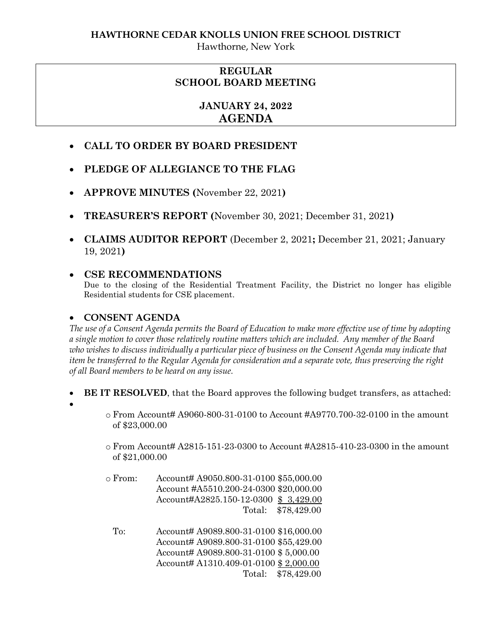Hawthorne, New York

## **REGULAR SCHOOL BOARD MEETING**

# **JANUARY 24, 2022 AGENDA**

- **CALL TO ORDER BY BOARD PRESIDENT**
- **PLEDGE OF ALLEGIANCE TO THE FLAG**
- **APPROVE MINUTES (**November 22, 2021**)**
- **TREASURER'S REPORT (**November 30, 2021; December 31, 2021**)**
- **CLAIMS AUDITOR REPORT** (December 2, 2021**;** December 21, 2021; January 19, 2021**)**

### **CSE RECOMMENDATIONS**

Due to the closing of the Residential Treatment Facility, the District no longer has eligible Residential students for CSE placement.

#### **CONSENT AGENDA**

*The use of a Consent Agenda permits the Board of Education to make more effective use of time by adopting a single motion to cover those relatively routine matters which are included. Any member of the Board who wishes to discuss individually a particular piece of business on the Consent Agenda may indicate that item be transferred to the Regular Agenda for consideration and a separate vote, thus preserving the right of all Board members to be heard on any issue.* 

- **BE IT RESOLVED**, that the Board approves the following budget transfers, as attached:
- $\bullet$
- $\circ$  From Account# A9060-800-31-0100 to Account #A9770.700-32-0100 in the amount of \$23,000.00
- $\circ$  From Account# A2815-151-23-0300 to Account #A2815-410-23-0300 in the amount of \$21,000.00
- o From: Account# A9050.800-31-0100 \$55,000.00 Account #A5510.200-24-0300 \$20,000.00 Account#A2825.150-12-0300 \$ 3,429.00 Total: \$78,429.00
	- To: Account# A9089.800-31-0100 \$16,000.00 Account# A9089.800-31-0100 \$55,429.00 Account# A9089.800-31-0100 \$ 5,000.00 Account# A1310.409-01-0100 \$ 2,000.00 Total: \$78,429.00